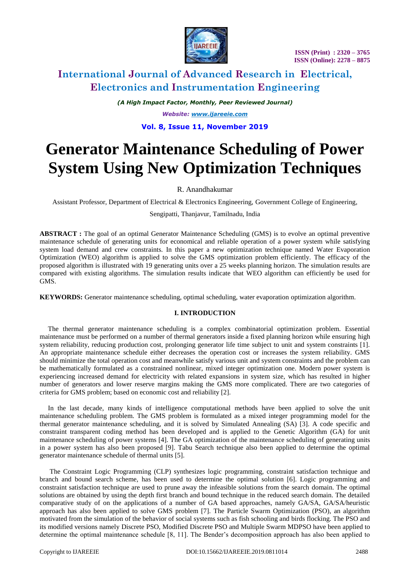

*(A High Impact Factor, Monthly, Peer Reviewed Journal)*

*Website: [www.ijareeie.com](http://www.ijareeie.com/)*

# **Vol. 8, Issue 11, November 2019**

# **Generator Maintenance Scheduling of Power System Using New Optimization Techniques**

# R. Anandhakumar

Assistant Professor, Department of Electrical & Electronics Engineering, Government College of Engineering,

#### Sengipatti, Thanjavur, Tamilnadu, India

**ABSTRACT :** The goal of an optimal Generator Maintenance Scheduling (GMS) is to evolve an optimal preventive maintenance schedule of generating units for economical and reliable operation of a power system while satisfying system load demand and crew constraints. In this paper a new optimization technique named Water Evaporation Optimization (WEO) algorithm is applied to solve the GMS optimization problem efficiently. The efficacy of the proposed algorithm is illustrated with 19 generating units over a 25 weeks planning horizon. The simulation results are compared with existing algorithms. The simulation results indicate that WEO algorithm can efficiently be used for GMS.

**KEYWORDS:** Generator maintenance scheduling, optimal scheduling, water evaporation optimization algorithm.

### **I. INTRODUCTION**

The thermal generator maintenance scheduling is a complex combinatorial optimization problem. Essential maintenance must be performed on a number of thermal generators inside a fixed planning horizon while ensuring high system reliability, reducing production cost, prolonging generator life time subject to unit and system constraints [1]. An appropriate maintenance schedule either decreases the operation cost or increases the system reliability. GMS should minimize the total operation cost and meanwhile satisfy various unit and system constraints and the problem can be mathematically formulated as a constrained nonlinear, mixed integer optimization one. Modern power system is experiencing increased demand for electricity with related expansions in system size, which has resulted in higher number of generators and lower reserve margins making the GMS more complicated. There are two categories of criteria for GMS problem; based on economic cost and reliability [2].

In the last decade, many kinds of intelligence computational methods have been applied to solve the unit maintenance scheduling problem. The GMS problem is formulated as a mixed integer programming model for the thermal generator maintenance scheduling, and it is solved by Simulated Annealing (SA) [3]. A code specific and constraint transparent coding method has been developed and is applied to the Genetic Algorithm (GA) for unit maintenance scheduling of power systems [4]. The GA optimization of the maintenance scheduling of generating units in a power system has also been proposed [9]. Tabu Search technique also been applied to determine the optimal generator maintenance schedule of thermal units [5].

The Constraint Logic Programming (CLP) synthesizes logic programming, constraint satisfaction technique and branch and bound search scheme, has been used to determine the optimal solution [6]. Logic programming and constraint satisfaction technique are used to prune away the infeasible solutions from the search domain. The optimal solutions are obtained by using the depth first branch and bound technique in the reduced search domain. The detailed comparative study of on the applications of a number of GA based approaches, namely GA/SA, GA/SA/heuristic approach has also been applied to solve GMS problem [7]. The Particle Swarm Optimization (PSO), an algorithm motivated from the simulation of the behavior of social systems such as fish schooling and birds flocking. The PSO and its modified versions namely Discrete PSO, Modified Discrete PSO and Multiple Swarm MDPSO have been applied to determine the optimal maintenance schedule [8, 11]. The Bender's decomposition approach has also been applied to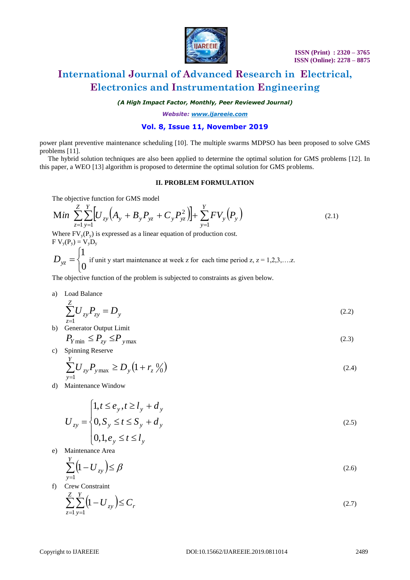

*(A High Impact Factor, Monthly, Peer Reviewed Journal)*

*Website: [www.ijareeie.com](http://www.ijareeie.com/)*

## **Vol. 8, Issue 11, November 2019**

power plant preventive maintenance scheduling [10]. The multiple swarms MDPSO has been proposed to solve GMS problems [11].

The hybrid solution techniques are also been applied to determine the optimal solution for GMS problems [12]. In this paper, a WEO [13] algorithm is proposed to determine the optimal solution for GMS problems.

#### **II. PROBLEM FORMULATION**

The objective function for GMS model

$$
\text{Min} \sum_{z=1}^{Z} \sum_{y=1}^{Y} \Big[ U_{zy} \Big( A_y + B_y P_{yz} + C_y P_{yz}^2 \Big) \Big] + \sum_{y=1}^{Y} F V_y \Big( P_y \Big) \tag{2.1}
$$

Where  $FV_v(P_v)$  is expressed as a linear equation of production cost.  $F V_v(P_v) = V_v D_v$ 

 $\overline{C}$  $\left\{ \right.$  $\int$  $=$ 0 1  $D_{yz} = \begin{cases} 1 \\ 0 \end{cases}$  if unit y start maintenance at week z for each time period z, z = 1,2,3,....z.

The objective function of the problem is subjected to constraints as given below.

a) Load Balance

$$
\sum_{z=1}^{Z} U_{zy} P_{zy} = D_y \tag{2.2}
$$

- b) Generator Output Limit  $P_{Y \text{min}} \leq P_{zy} \leq P_{y \text{max}}$  $(2.3)$
- c) Spinning Reserve

$$
\sum_{y=1}^{Y} U_{zy} P_{y \max} \ge D_y \left( 1 + r_z \frac{0}{0} \right)
$$
\n(2.4)

d) Maintenance Window

$$
U_{zy} = \begin{cases} 1, t \le e_y, t \ge l_y + d_y \\ 0, S_y \le t \le S_y + d_y \\ 0, 1, e_y \le t \le l_y \end{cases}
$$
 (2.5)

e) Maintenance Area

$$
\sum_{y=1}^{Y} \left(1 - U_{zy}\right) \le \beta \tag{2.6}
$$

f) Crew Constraint

$$
\sum_{z=1}^{Z} \sum_{y=1}^{Y} \left(1 - U_{zy}\right) \le C_r \tag{2.7}
$$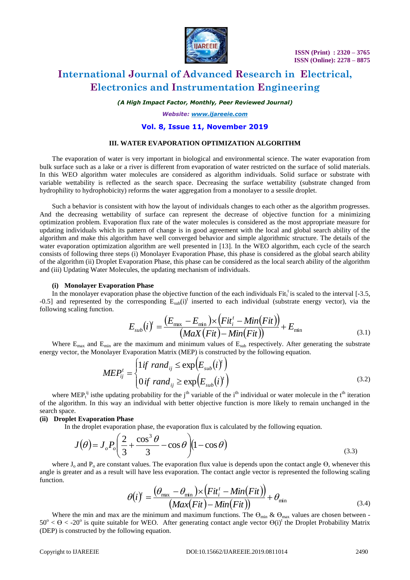

*(A High Impact Factor, Monthly, Peer Reviewed Journal)*

*Website: [www.ijareeie.com](http://www.ijareeie.com/)*

### **Vol. 8, Issue 11, November 2019**

#### **III. WATER EVAPORATION OPTIMIZATION ALGORITHM**

The evaporation of water is very important in biological and environmental science. The water evaporation from bulk surface such as a lake or a river is different from evaporation of water restricted on the surface of solid materials. In this WEO algorithm water molecules are considered as algorithm individuals. Solid surface or substrate with variable wettability is reflected as the search space. Decreasing the surface wettability (substrate changed from hydrophility to hydrophobicity) reforms the water aggregation from a monolayer to a sessile droplet.

Such a behavior is consistent with how the layout of individuals changes to each other as the algorithm progresses. And the decreasing wettability of surface can represent the decrease of objective function for a minimizing optimization problem. Evaporation flux rate of the water molecules is considered as the most appropriate measure for updating individuals which its pattern of change is in good agreement with the local and global search ability of the algorithm and make this algorithm have well converged behavior and simple algorithmic structure. The details of the water evaporation optimization algorithm are well presented in [13]. In the WEO algorithm, each cycle of the search consists of following three steps (i) Monolayer Evaporation Phase, this phase is considered as the global search ability of the algorithm (ii) Droplet Evaporation Phase, this phase can be considered as the local search ability of the algorithm and (iii) Updating Water Molecules, the updating mechanism of individuals.

#### **(i) Monolayer Evaporation Phase**

In the monolayer evaporation phase the objective function of the each individuals  $Fit<sub>i</sub><sup>t</sup>$  is scaled to the interval [-3.5, -0.5] and represented by the corresponding  $E_{sub}(i)$ <sup>t</sup> inserted to each individual (substrate energy vector), via the following scaling function.

$$
E_{sub}(i)^{t} = \frac{(E_{\text{max}} - E_{\text{min}}) \times (Fit^{t}_{i} - Min(Fit))}{(Max(Fit) - Min(Fit))} + E_{\text{min}}
$$
\n(3.1)

Where  $E_{\text{max}}$  and  $E_{\text{min}}$  are the maximum and minimum values of  $E_{\text{sub}}$  respectively. After generating the substrate energy vector, the Monolayer Evaporation Matrix (MEP) is constructed by the following equation.

$$
MEP_{ij}^{t} = \begin{cases} 1if \; rand_{ij} \leq \exp(E_{sub}(i)^{t}) \\ 0if \; rand_{ij} \geq \exp(E_{sub}(i)^{t}) \end{cases}
$$
 (3.2)

where MEP<sub>t</sub><sup>ij</sup> isthe updating probability for the j<sup>th</sup> variable of the i<sup>th</sup> individual or water molecule in the t<sup>th</sup> iteration of the algorithm. In this way an individual with better objective function is more likely to remain unchanged in the search space.

#### **(ii) Droplet Evaporation Phase**

In the droplet evaporation phase, the evaporation flux is calculated by the following equation.

$$
J(\theta) = J_o P_o \left( \frac{2}{3} + \frac{\cos^3 \theta}{3} - \cos \theta \right) \left( 1 - \cos \theta \right)
$$
\n(3.3)

where  $J_0$  and  $P_0$  are constant values. The evaporation flux value is depends upon the contact angle  $\Theta$ , whenever this angle is greater and as a result will have less evaporation. The contact angle vector is represented the following scaling function.

$$
\theta(i)^{t} = \frac{(\theta_{\text{max}} - \theta_{\text{min}}) \times (Fit^{t}_{i} - Min (Fit))}{(Max (Fit) - Min (Fit))} + \theta_{\text{min}}
$$
\n(3.4)

Where the min and max are the minimum and maximum functions. The  $\Theta_{\text{min}} \& \Theta_{\text{max}}$  values are chosen between - $50^{\circ} < \Theta < 20^{\circ}$  is quite suitable for WEO. After generating contact angle vector  $\Theta(i)^{t}$  the Droplet Probability Matrix (DEP) is constructed by the following equation.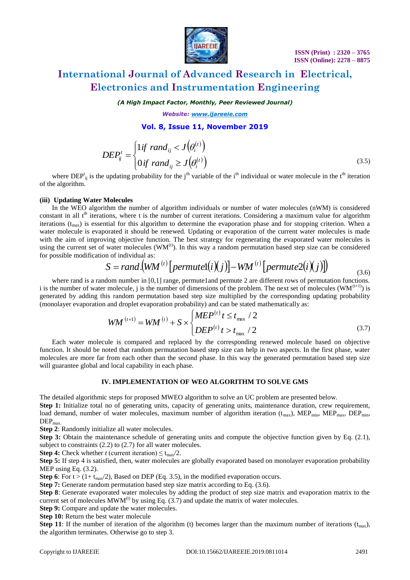

*(A High Impact Factor, Monthly, Peer Reviewed Journal)*

*Website: [www.ijareeie.com](http://www.ijareeie.com/)*

### **Vol. 8, Issue 11, November 2019**

$$
DEF_{ij}^{t} = \begin{cases} 1 if \quad rand_{ij} < J(\theta_i^{(t)}) \\ 0 if \quad rand_{ij} \ge J(\theta_i^{(t)}) \end{cases} \tag{3.5}
$$

where  $DEF_{ij}$  is the updating probability for the j<sup>th</sup> variable of the i<sup>th</sup> individual or water molecule in the t<sup>th</sup> iteration of the algorithm.

#### **(iii) Updating Water Molecules**

In the WEO algorithm the number of algorithm individuals or number of water molecules (nWM) is considered constant in all  $t<sup>th</sup>$  iterations, where t is the number of current iterations. Considering a maximum value for algorithm iterations  $(t_{\text{max}})$  is essential for this algorithm to determine the evaporation phase and for stopping criterion. When a water molecule is evaporated it should be renewed. Updating or evaporation of the current water molecules is made with the aim of improving objective function. The best strategy for regenerating the evaporated water molecules is using the current set of water molecules  $(WM^{(t)})$ . In this way a random permutation based step size can be considered for possible modification of individual as:

$$
S = rand.(WM(t)[permute1(i)(j)] – WM(t)[permute2(i)(j)])
$$
\n(3.6)

where rand is a random number in  $[0,1]$  range, permute1and permute 2 are different rows of permutation functions. i is the number of water molecule, j is the number of dimensions of the problem. The next set of molecules  $(WM^{(t+1)})$  is generated by adding this random permutation based step size multiplied by the corresponding updating probability (monolayer evaporation and droplet evaporation probability) and can be stated mathematically as:

$$
WM^{(t+1)} = WM^{(t)} + S \times \begin{cases} MEP^{(t)} \ t \le t_{\text{max}} / 2 \\ DEP^{(t)} \ t > t_{\text{max}} / 2 \end{cases}
$$
(3.7)

Each water molecule is compared and replaced by the corresponding renewed molecule based on objective function. It should be noted that random permutation based step size can help in two aspects. In the first phase, water molecules are more far from each other than the second phase. In this way the generated permutation based step size will guarantee global and local capability in each phase.

#### **IV. IMPLEMENTATION OF WEO ALGORITHM TO SOLVE GMS**

The detailed algorithmic steps for proposed MWEO algorithm to solve an UC problem are presented below.

**Step 1:** Initialize total no of generating units, capacity of generating units, maintenance duration, crew requirement, load demand, number of water molecules, maximum number of algorithm iteration  $(t_{\text{max}})$ , MEP<sub>min</sub>, MEP<sub>max</sub>, DEP<sub>min</sub>,  $DEP<sub>max</sub>$ 

**Step 2**: Randomly initialize all water molecules.

**Step 3:** Obtain the maintenance schedule of generating units and compute the objective function given by Eq. (2.1), subject to constraints (2.2) to (2.7) for all water molecules.

**Step 4:** Check whether *t* (current iteration)  $\leq t_{\text{max}}/2$ .

**Step 5:** If step 4 is satisfied, then, water molecules are globally evaporated based on monolayer evaporation probability MEP using Eq. (3.2).

**Step 6**: For  $t > (1 + t_{max}/2)$ , Based on DEP (Eq. 3.5), in the modified evaporation occurs.

**Step 7:** Generate random permutation based step size matrix according to Eq. (3.6).

**Step 8**: Generate evaporated water molecules by adding the product of step size matrix and evaporation matrix to the current set of molecules  $MWM^{(t)}$  by using Eq. (3.7) and update the matrix of water molecules.

**Step 9:** Compare and update the water molecules.

**Step 10:** Return the best water molecule

**Step 11**: If the number of iteration of the algorithm (t) becomes larger than the maximum number of iterations  $(t_{max})$ , the algorithm terminates. Otherwise go to step 3.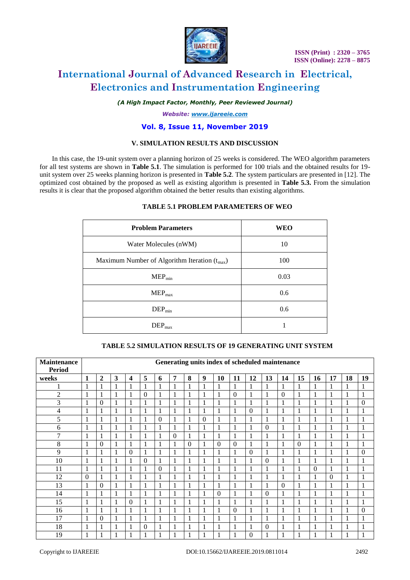

*(A High Impact Factor, Monthly, Peer Reviewed Journal)*

*Website: [www.ijareeie.com](http://www.ijareeie.com/)*

### **Vol. 8, Issue 11, November 2019**

### **V. SIMULATION RESULTS AND DISCUSSION**

In this case, the 19-unit system over a planning horizon of 25 weeks is considered. The WEO algorithm parameters for all test systems are shown in **Table 5.1**. The simulation is performed for 100 trials and the obtained results for 19 unit system over 25 weeks planning horizon is presented in **Table 5.2**. The system particulars are presented in [12]. The optimized cost obtained by the proposed as well as existing algorithm is presented in **Table 5.3.** From the simulation results it is clear that the proposed algorithm obtained the better results than existing algorithms.

## **TABLE 5.1 PROBLEM PARAMETERS OF WEO**

| <b>Problem Parameters</b>                         | <b>WEO</b> |
|---------------------------------------------------|------------|
| Water Molecules (nWM)                             | 10         |
| Maximum Number of Algorithm Iteration $(t_{max})$ | 100        |
| $MEP_{min}$                                       | 0.03       |
| $MEP_{max}$                                       | 0.6        |
| $DEP_{min}$                                       | 0.6        |
| $\rm{DEP}_{max}$                                  |            |

#### **TABLE 5.2 SIMULATION RESULTS OF 19 GENERATING UNIT SYSTEM**

| <b>Maintenance</b><br><b>Period</b> | Generating units index of scheduled maintenance |              |              |                         |              |              |                |              |              |              |                |              |              |              |                  |                |              |                    |                |
|-------------------------------------|-------------------------------------------------|--------------|--------------|-------------------------|--------------|--------------|----------------|--------------|--------------|--------------|----------------|--------------|--------------|--------------|------------------|----------------|--------------|--------------------|----------------|
| weeks                               | 1                                               | $\mathbf{2}$ | 3            | $\overline{\mathbf{4}}$ | 5            | 6            | $\overline{7}$ | 8            | 9            | 10           | 11             | 12           | 13           | 14           | 15               | 16             | 17           | 18                 | 19             |
| 1<br>л                              | 1                                               | 1            | 1            | 1                       | 1            | $\mathbf{1}$ | 1              | 1            | 1            | 1            | 1              | $\mathbf{1}$ | 1            | 1            | $\mathbf{1}$     | 1              | $\mathbf{1}$ | 1                  | 1              |
| $\overline{2}$                      | 1                                               | 1            | 1            |                         | $\theta$     | 1            | 1              | 1            | 1            | 1            | $\overline{0}$ | 1            |              | $\Omega$     | 1                |                | 1            | 1                  | 1              |
| 3                                   | 1                                               | $\Omega$     | 1            | 1                       | 1            | $\mathbf{1}$ | 1              | 1            | $\mathbf{1}$ | $\mathbf{1}$ | $\mathbf{1}$   | $\mathbf{1}$ | 1            | 1            | 1                |                |              |                    | $\overline{0}$ |
| 4                                   | $\mathbf{1}$                                    | 1            | 1            | 1                       | 1            | $\mathbf{1}$ | 1              | $\mathbf{1}$ | 1            | $\mathbf{1}$ | $\mathbf{1}$   | $\theta$     | 1            | 1            | $\,1\,$          | 1              | 1            |                    | 1              |
| 5                                   | $\mathbf{1}$                                    | 1            | $\mathbf{1}$ | 1                       | 1            | $\theta$     | 1              | 1            | $\theta$     | $\mathbf{1}$ | $\mathbf{1}$   | $\mathbf{1}$ | 1            | 1            | 1                |                | $\mathbf{1}$ |                    | 1              |
| 6                                   | $\mathbf{1}$                                    | 1            | 1            |                         | 1            | $\mathbf{1}$ |                | 1            |              | $\mathbf{1}$ | 1              | $\mathbf{1}$ | $\Omega$     |              | 1                |                |              |                    | 1              |
| 7                                   | $\mathbf{1}$                                    | 1            | 1            |                         | 1            | $\mathbf{1}$ | $\mathbf{0}$   | $\mathbf{1}$ | $\mathbf{1}$ | $\mathbf{1}$ | $\mathbf{1}$   | $\mathbf{1}$ | 1            | 1            | $\mathbf{1}$     |                |              |                    | 1              |
| 8                                   | 1                                               | $\Omega$     | 1            | 1                       | 1            | $\mathbf{1}$ | $\mathbf{1}$   | $\Omega$     | 1            | $\theta$     | $\theta$       | $\mathbf{1}$ | 1            | 1            | $\boldsymbol{0}$ | 1              | $\mathbf{1}$ | 1                  | 1              |
| 9                                   | $\mathbf{1}$                                    | $\mathbf{1}$ | 1            | $\theta$                | 1            | 1            |                | 1            | $\mathbf{1}$ | $\mathbf{1}$ | 1              | $\theta$     | 1            | 1            | 1                |                |              |                    | $\overline{0}$ |
| 10                                  | 1                                               | 1            | $\mathbf{1}$ |                         | $\theta$     | $\mathbf{1}$ | $\mathbf{1}$   | $\mathbf{1}$ | 1            | $\mathbf{1}$ | $\mathbf{1}$   | $\mathbf{1}$ | $\mathbf{0}$ | 1            | 1                |                | 1            |                    | 1              |
| 11                                  | 1                                               | $\mathbf{1}$ | 1            | 1                       | $\mathbf{1}$ | $\theta$     |                | 1            | 1            | $\mathbf{1}$ | $\mathbf{1}$   | $\mathbf{1}$ | 1            | 1            | 1                | $\overline{0}$ | 1            |                    | 1              |
| 12                                  | $\theta$                                        | 1            | $\mathbf{1}$ | 1                       | $\mathbf{1}$ | $\mathbf{1}$ | 1              | 1            | $\mathbf{1}$ | $\mathbf{1}$ | $\mathbf{1}$   | $\mathbf{1}$ | 1            | 1            | $\,1$            |                | $\theta$     |                    | 1              |
| 13                                  | $\mathbf{1}$                                    | $\Omega$     | 1            |                         | 1            |              |                | 1            |              | $\mathbf{1}$ | 1              | $\mathbf{1}$ |              | $\mathbf{0}$ | 1                |                |              |                    | 1              |
| 14                                  | $\mathbf{1}$                                    | $\mathbf{1}$ | $\mathbf{1}$ | $\mathbf{1}$            | $\mathbf{1}$ | $\mathbf{1}$ | 1              | $\mathbf{1}$ | $\mathbf{1}$ | $\mathbf{0}$ | $\mathbf{1}$   | $\mathbf{1}$ | $\Omega$     | $\mathbf{1}$ | $\mathbf{1}$     |                | 1            | 1                  | 1              |
| 15                                  | $\mathbf{1}$                                    | $\mathbf{1}$ | 1            | $\theta$                | 1            | $\mathbf{1}$ | $\mathbf{1}$   | 1            | 1            | $\mathbf{1}$ | $\mathbf{1}$   | $\mathbf{1}$ | 1            | $\mathbf{1}$ | $\mathbf{1}$     |                | $\mathbf{1}$ | -1<br>$\mathbf{I}$ | 1              |
| 16                                  | 1                                               | 1            | 1            | 1                       | 1            | $\mathbf{1}$ | $\mathbf{1}$   | $\mathbf{1}$ | 1            | 1            | $\Omega$       | $\mathbf{1}$ | 1            | $\mathbf{1}$ | 1                | 1              | 1            | 1                  | $\theta$       |
| 17                                  | 1                                               | $\mathbf{0}$ | 1            | 1                       | 1            | $\mathbf{1}$ | $\mathbf{1}$   | 1            | 1            | $\mathbf{1}$ | 1              | $\mathbf{1}$ | 1            | 1            | 1                |                | $\mathbf{1}$ | -1                 | 1              |
| 18                                  | 1                                               | $\mathbf{1}$ | 1            |                         | $\theta$     | $\mathbf{1}$ |                |              | $\mathbf{1}$ | $\mathbf{1}$ | 1              | $\mathbf{1}$ | $\mathbf{0}$ | 1            | 1                |                | 1            |                    | 1              |
| 19                                  | $\mathbf{1}$                                    | 1            | 1            | п                       | 1            | -1           | -1             |              | 1            | $\mathbf{1}$ | -1             | $\theta$     |              | $\mathbf{1}$ | 1                |                |              |                    | $\mathbf{1}$   |